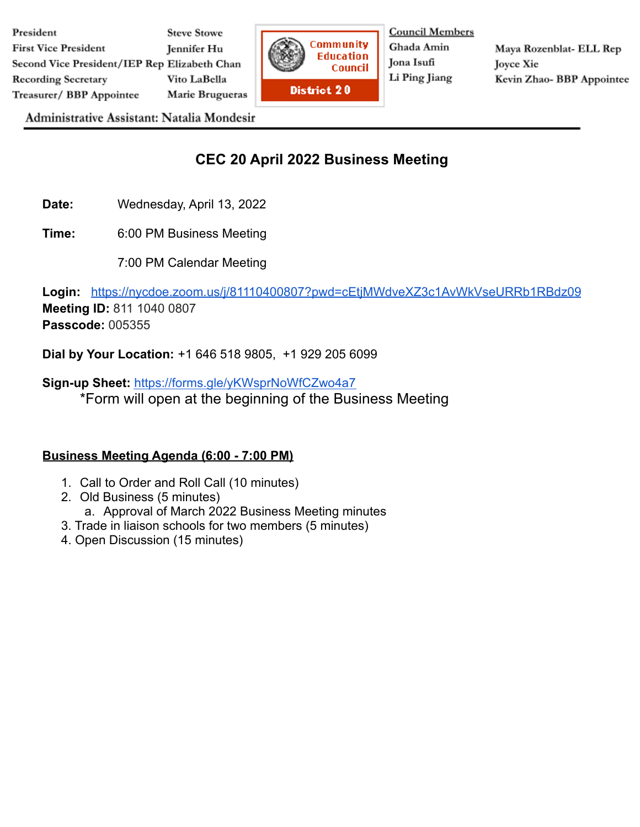

**Council Members** Ghada Amin Jona Isufi Li Ping Jiang

Maya Rozenblat- ELL Rep **Joyce Xie** Kevin Zhao- BBP Appointee

Administrative Assistant: Natalia Mondesir

## **CEC 20 April 2022 Business Meeting**

**Date:** Wednesday, April 13, 2022

**Time:** 6:00 PM Business Meeting

7:00 PM Calendar Meeting

**Login:** <https://nycdoe.zoom.us/j/81110400807?pwd=cEtjMWdveXZ3c1AvWkVseURRb1RBdz09> **Meeting ID:** 811 1040 0807 **Passcode:** 005355

**Dial by Your Location:** +1 646 518 9805, +1 929 205 6099

**Sign-up Sheet:** <https://forms.gle/yKWsprNoWfCZwo4a7> \*Form will open at the beginning of the Business Meeting

## **Business Meeting Agenda (6:00 - 7:00 PM)**

- 1. Call to Order and Roll Call (10 minutes)
- 2. Old Business (5 minutes) a. Approval of March 2022 Business Meeting minutes
- 3. Trade in liaison schools for two members (5 minutes)
- 4. Open Discussion (15 minutes)